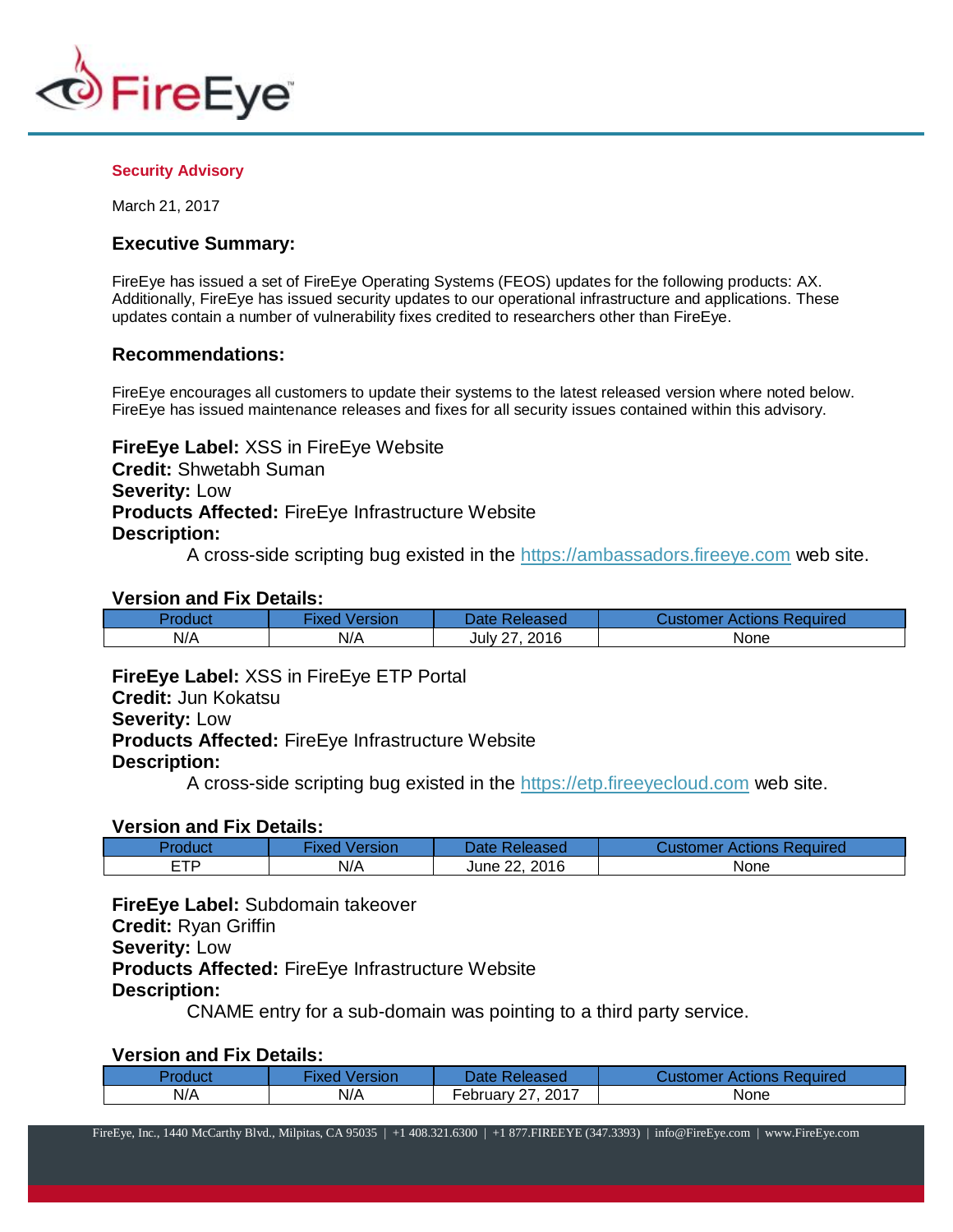

#### **Security Advisory**

March 21, 2017

## **Executive Summary:**

FireEye has issued a set of FireEye Operating Systems (FEOS) updates for the following products: AX. Additionally, FireEye has issued security updates to our operational infrastructure and applications. These updates contain a number of vulnerability fixes credited to researchers other than FireEye.

## **Recommendations:**

FireEye encourages all customers to update their systems to the latest released version where noted below. FireEye has issued maintenance releases and fixes for all security issues contained within this advisory.

**FireEye Label:** XSS in FireEye Website **Credit:** Shwetabh Suman **Severity:** Low **Products Affected:** FireEye Infrastructure Website **Description:**

A cross-side scripting bug existed in the [https://ambassadors.fireeye.com](https://ambassadors.fireeye.com/) web site.

#### **Version and Fix Details:**

| roduct | Version<br><b>IXed</b> | Date Released   | r Actions Required<br>Customer |
|--------|------------------------|-----------------|--------------------------------|
| N/A    | N/A                    | 2016<br>July 27 | None                           |

**FireEye Label:** XSS in FireEye ETP Portal **Credit:** Jun Kokatsu **Severity:** Low **Products Affected:** FireEye Infrastructure Website **Description:**

A cross-side scripting bug existed in the [https://etp.fireeyecloud.com](https://etp.fireeyecloud.com/) web site.

### **Version and Fix Details:**

| Product  | Version<br>·ixed | Date Released          | Customer Actions Required. |
|----------|------------------|------------------------|----------------------------|
| ETD<br>- | N/A              | 2016<br>າາ<br>June 22, | None                       |

**FireEye Label:** Subdomain takeover **Credit:** Ryan Griffin **Severity:** Low **Products Affected:** FireEye Infrastructure Website **Description:**

CNAME entry for a sub-domain was pointing to a third party service.

# **Version and Fix Details:**

| Product | <b>Fixed Version</b> | Date Released         | <b>Customer Actions Required</b> |
|---------|----------------------|-----------------------|----------------------------------|
| N/A     | N/A                  | .2017<br>February 27. | None                             |

FireEye, Inc., 1440 McCarthy Blvd., Milpitas, CA 95035 | +1 408.321.6300 | +1 877.FIREEYE (347.3393) | [info@FireEye.com](mailto:info@FireEye.com) | www.FireEye.com